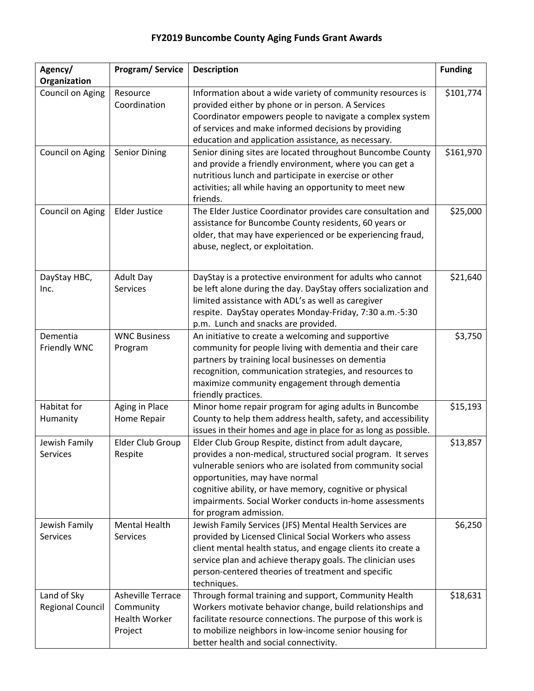## **FY2019 Buncombe County Aging Funds Grant Awards**

| Agency/<br>Organization                | <b>Program/Service</b>                                            | <b>Description</b>                                                                                                                                                                                                                                                                                                                                                     | <b>Funding</b> |
|----------------------------------------|-------------------------------------------------------------------|------------------------------------------------------------------------------------------------------------------------------------------------------------------------------------------------------------------------------------------------------------------------------------------------------------------------------------------------------------------------|----------------|
| Council on Aging                       | Resource<br>Coordination                                          | Information about a wide variety of community resources is<br>provided either by phone or in person. A Services<br>Coordinator empowers people to navigate a complex system<br>of services and make informed decisions by providing<br>education and application assistance, as necessary.                                                                             | \$101,774      |
| Council on Aging                       | <b>Senior Dining</b>                                              | Senior dining sites are located throughout Buncombe County<br>and provide a friendly environment, where you can get a<br>nutritious lunch and participate in exercise or other<br>activities; all while having an opportunity to meet new<br>friends.                                                                                                                  | \$161,970      |
| Council on Aging                       | <b>Elder Justice</b>                                              | The Elder Justice Coordinator provides care consultation and<br>assistance for Buncombe County residents, 60 years or<br>older, that may have experienced or be experiencing fraud,<br>abuse, neglect, or exploitation.                                                                                                                                                | \$25,000       |
| DayStay HBC,<br>Inc.                   | <b>Adult Day</b><br>Services                                      | DayStay is a protective environment for adults who cannot<br>be left alone during the day. DayStay offers socialization and<br>limited assistance with ADL's as well as caregiver<br>respite. DayStay operates Monday-Friday, 7:30 a.m.-5:30<br>p.m. Lunch and snacks are provided.                                                                                    | \$21,640       |
| Dementia<br>Friendly WNC               | <b>WNC Business</b><br>Program                                    | An initiative to create a welcoming and supportive<br>community for people living with dementia and their care<br>partners by training local businesses on dementia<br>recognition, communication strategies, and resources to<br>maximize community engagement through dementia<br>friendly practices.                                                                | \$3,750        |
| Habitat for<br>Humanity                | Aging in Place<br>Home Repair                                     | Minor home repair program for aging adults in Buncombe<br>County to help them address health, safety, and accessibility<br>issues in their homes and age in place for as long as possible.                                                                                                                                                                             | \$15,193       |
| Jewish Family<br>Services              | Elder Club Group<br>Respite                                       | Elder Club Group Respite, distinct from adult daycare,<br>provides a non-medical, structured social program. It serves<br>vulnerable seniors who are isolated from community social<br>opportunities, may have normal<br>cognitive ability, or have memory, cognitive or physical<br>impairments. Social Worker conducts in-home assessments<br>for program admission. | \$13,857       |
| Jewish Family<br><b>Services</b>       | <b>Mental Health</b><br><b>Services</b>                           | Jewish Family Services (JFS) Mental Health Services are<br>provided by Licensed Clinical Social Workers who assess<br>client mental health status, and engage clients ito create a<br>service plan and achieve therapy goals. The clinician uses<br>person-centered theories of treatment and specific<br>techniques.                                                  | \$6,250        |
| Land of Sky<br><b>Regional Council</b> | Asheville Terrace<br>Community<br><b>Health Worker</b><br>Project | Through formal training and support, Community Health<br>Workers motivate behavior change, build relationships and<br>facilitate resource connections. The purpose of this work is<br>to mobilize neighbors in low-income senior housing for<br>better health and social connectivity.                                                                                 | \$18,631       |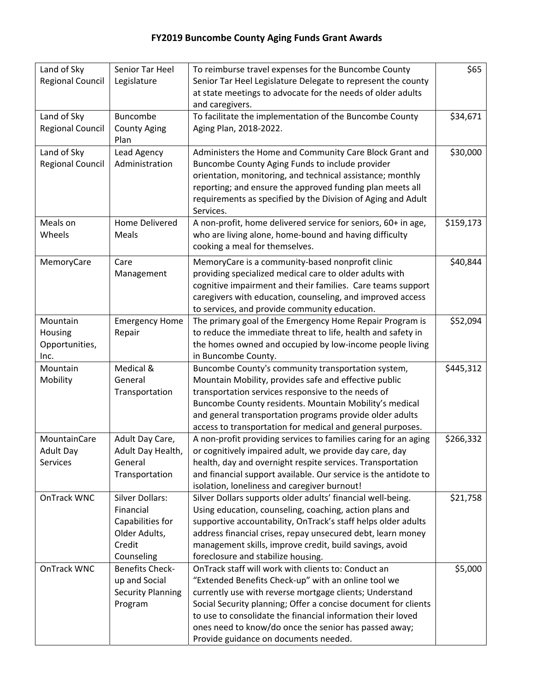| Land of Sky<br><b>Regional Council</b>        | Senior Tar Heel<br>Legislature                                                                   | To reimburse travel expenses for the Buncombe County<br>Senior Tar Heel Legislature Delegate to represent the county                                                                                                                                                                                                                                                                                     | \$65      |
|-----------------------------------------------|--------------------------------------------------------------------------------------------------|----------------------------------------------------------------------------------------------------------------------------------------------------------------------------------------------------------------------------------------------------------------------------------------------------------------------------------------------------------------------------------------------------------|-----------|
|                                               |                                                                                                  | at state meetings to advocate for the needs of older adults<br>and caregivers.                                                                                                                                                                                                                                                                                                                           |           |
| Land of Sky<br><b>Regional Council</b>        | <b>Buncombe</b><br><b>County Aging</b><br>Plan                                                   | To facilitate the implementation of the Buncombe County<br>Aging Plan, 2018-2022.                                                                                                                                                                                                                                                                                                                        | \$34,671  |
| Land of Sky<br><b>Regional Council</b>        | Lead Agency<br>Administration                                                                    | Administers the Home and Community Care Block Grant and<br>Buncombe County Aging Funds to include provider<br>orientation, monitoring, and technical assistance; monthly<br>reporting; and ensure the approved funding plan meets all<br>requirements as specified by the Division of Aging and Adult<br>Services.                                                                                       | \$30,000  |
| Meals on<br>Wheels                            | Home Delivered<br>Meals                                                                          | A non-profit, home delivered service for seniors, 60+ in age,<br>who are living alone, home-bound and having difficulty<br>cooking a meal for themselves.                                                                                                                                                                                                                                                | \$159,173 |
| MemoryCare                                    | Care<br>Management                                                                               | MemoryCare is a community-based nonprofit clinic<br>providing specialized medical care to older adults with<br>cognitive impairment and their families. Care teams support<br>caregivers with education, counseling, and improved access<br>to services, and provide community education.                                                                                                                | \$40,844  |
| Mountain<br>Housing<br>Opportunities,<br>Inc. | <b>Emergency Home</b><br>Repair                                                                  | The primary goal of the Emergency Home Repair Program is<br>to reduce the immediate threat to life, health and safety in<br>the homes owned and occupied by low-income people living<br>in Buncombe County.                                                                                                                                                                                              | \$52,094  |
| Mountain<br>Mobility                          | Medical &<br>General<br>Transportation                                                           | Buncombe County's community transportation system,<br>Mountain Mobility, provides safe and effective public<br>transportation services responsive to the needs of<br>Buncombe County residents. Mountain Mobility's medical<br>and general transportation programs provide older adults<br>access to transportation for medical and general purposes.                                                    | \$445,312 |
| MountainCare<br><b>Adult Day</b><br>Services  | Adult Day Care,<br>Adult Day Health,<br>General<br>Transportation                                | A non-profit providing services to families caring for an aging<br>or cognitively impaired adult, we provide day care, day<br>health, day and overnight respite services. Transportation<br>and financial support available. Our service is the antidote to<br>isolation, loneliness and caregiver burnout!                                                                                              | \$266,332 |
| OnTrack WNC                                   | <b>Silver Dollars:</b><br>Financial<br>Capabilities for<br>Older Adults,<br>Credit<br>Counseling | Silver Dollars supports older adults' financial well-being.<br>Using education, counseling, coaching, action plans and<br>supportive accountability, OnTrack's staff helps older adults<br>address financial crises, repay unsecured debt, learn money<br>management skills, improve credit, build savings, avoid<br>foreclosure and stabilize housing.                                                  | \$21,758  |
| OnTrack WNC                                   | <b>Benefits Check-</b><br>up and Social<br><b>Security Planning</b><br>Program                   | OnTrack staff will work with clients to: Conduct an<br>"Extended Benefits Check-up" with an online tool we<br>currently use with reverse mortgage clients; Understand<br>Social Security planning; Offer a concise document for clients<br>to use to consolidate the financial information their loved<br>ones need to know/do once the senior has passed away;<br>Provide guidance on documents needed. | \$5,000   |